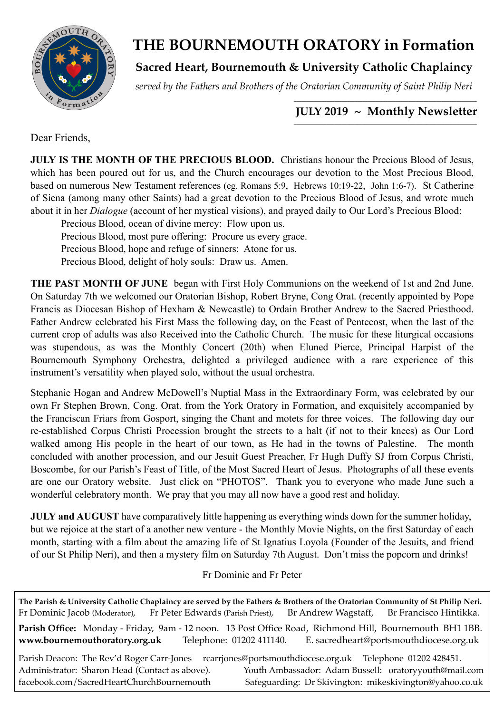

# **THE BOURNEMOUTH ORATORY in Formation**

**Sacred Heart, Bournemouth & University Catholic Chaplaincy**

*served by the Fathers and Brothers of the Oratorian Community of Saint Philip Neri*

#### *\_\_\_\_\_\_\_\_\_\_\_\_\_\_\_\_\_\_\_\_\_\_\_\_\_\_\_\_\_\_\_\_\_\_\_\_\_\_\_\_\_\_\_\_\_\_\_\_\_\_\_\_\_\_\_\_\_\_\_\_\_\_\_\_\_\_\_\_\_\_\_\_*  **JULY 2019 ~ Monthly Newsletter**

Dear Friends,

**JULY IS THE MONTH OF THE PRECIOUS BLOOD.** Christians honour the Precious Blood of Jesus, which has been poured out for us, and the Church encourages our devotion to the Most Precious Blood, based on numerous New Testament references (eg. Romans 5:9, Hebrews 10:19-22, John 1:6-7). St Catherine of Siena (among many other Saints) had a great devotion to the Precious Blood of Jesus, and wrote much about it in her *Dialogue* (account of her mystical visions), and prayed daily to Our Lord's Precious Blood:

Precious Blood, ocean of divine mercy: Flow upon us.

Precious Blood, most pure offering: Procure us every grace.

Precious Blood, hope and refuge of sinners: Atone for us.

Precious Blood, delight of holy souls: Draw us. Amen.

**THE PAST MONTH OF JUNE** began with First Holy Communions on the weekend of 1st and 2nd June. On Saturday 7th we welcomed our Oratorian Bishop, Robert Bryne, Cong Orat. (recently appointed by Pope Francis as Diocesan Bishop of Hexham & Newcastle) to Ordain Brother Andrew to the Sacred Priesthood. Father Andrew celebrated his First Mass the following day, on the Feast of Pentecost, when the last of the current crop of adults was also Received into the Catholic Church. The music for these liturgical occasions was stupendous, as was the Monthly Concert (20th) when Eluned Pierce, Principal Harpist of the Bournemouth Symphony Orchestra, delighted a privileged audience with a rare experience of this instrument's versatility when played solo, without the usual orchestra.

Stephanie Hogan and Andrew McDowell's Nuptial Mass in the Extraordinary Form, was celebrated by our own Fr Stephen Brown, Cong. Orat. from the York Oratory in Formation, and exquisitely accompanied by the Franciscan Friars from Gosport, singing the Chant and motets for three voices. The following day our re-established Corpus Christi Procession brought the streets to a halt (if not to their knees) as Our Lord walked among His people in the heart of our town, as He had in the towns of Palestine. The month concluded with another procession, and our Jesuit Guest Preacher, Fr Hugh Duffy SJ from Corpus Christi, Boscombe, for our Parish's Feast of Title, of the Most Sacred Heart of Jesus. Photographs of all these events are one our Oratory website. Just click on "PHOTOS". Thank you to everyone who made June such a wonderful celebratory month. We pray that you may all now have a good rest and holiday.

**JULY** and AUGUST have comparatively little happening as everything winds down for the summer holiday, but we rejoice at the start of a another new venture - the Monthly Movie Nights, on the first Saturday of each month, starting with a film about the amazing life of St Ignatius Loyola (Founder of the Jesuits, and friend of our St Philip Neri), and then a mystery film on Saturday 7th August. Don't miss the popcorn and drinks!

## Fr Dominic and Fr Peter

**The Parish & University Catholic Chaplaincy are served by the Fathers & Brothers of the Oratorian Community of St Philip Neri.** Fr Dominic Jacob (Moderator), Fr Peter Edwards (Parish Priest), Br Andrew Wagstaff, Br Francisco Hintikka. **Parish Office:** Monday - Friday, 9am - 12 noon. 13 Post Office Road, Richmond Hill, Bournemouth BH1 1BB. **[www.bournemouthoratory.org.uk](http://www.bournemoithoratory.org.uk)** Telephone: 01202 411140. E. [sacredheart@portsmouthdiocese.org.uk](mailto:sacredheart@portsmouthdiocese.org.uk) Parish Deacon: The Rev'd Roger Carr-Jones [rcarrjones@portsmouthdiocese.org.uk](mailto:rcarrjones@portsmouthdiocese.org.uk) Telephone 01202 428451. Administrator: Sharon Head (Contact as above). Youth Ambassador: Adam Bussell: [oratoryyouth@mail.com](http://oratoryyouth.mail.com) [facebook.com/SacredHeartChurchBournemouth](http://facebook.com/SaccredHeartChurchBournemouth) Safeguarding: Dr Skivington: mikeskivington@yahoo.co.uk